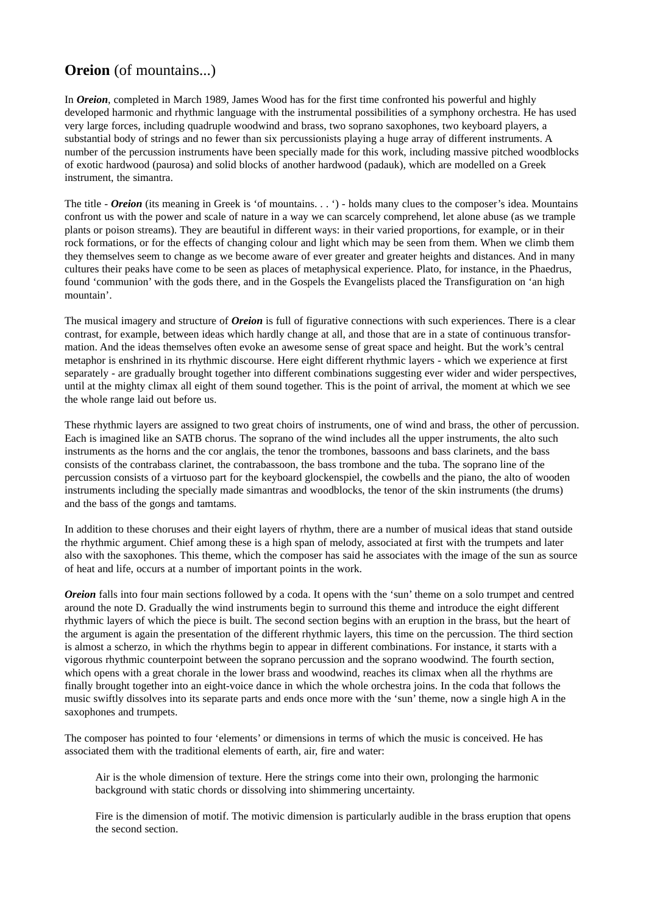## **Oreion** (of mountains...)

In *Oreion*, completed in March 1989, James Wood has for the first time confronted his powerful and highly developed harmonic and rhythmic language with the instrumental possibilities of a symphony orchestra. He has used very large forces, including quadruple woodwind and brass, two soprano saxophones, two keyboard players, a substantial body of strings and no fewer than six percussionists playing a huge array of different instruments. A number of the percussion instruments have been specially made for this work, including massive pitched woodblocks of exotic hardwood (paurosa) and solid blocks of another hardwood (padauk), which are modelled on a Greek instrument, the simantra.

The title - *Oreion* (its meaning in Greek is 'of mountains. . . ') - holds many clues to the composer's idea. Mountains confront us with the power and scale of nature in a way we can scarcely comprehend, let alone abuse (as we trample plants or poison streams). They are beautiful in different ways: in their varied proportions, for example, or in their rock formations, or for the effects of changing colour and light which may be seen from them. When we climb them they themselves seem to change as we become aware of ever greater and greater heights and distances. And in many cultures their peaks have come to be seen as places of metaphysical experience. Plato, for instance, in the Phaedrus, found 'communion' with the gods there, and in the Gospels the Evangelists placed the Transfiguration on 'an high mountain'.

The musical imagery and structure of *Oreion* is full of figurative connections with such experiences. There is a clear contrast, for example, between ideas which hardly change at all, and those that are in a state of continuous transformation. And the ideas themselves often evoke an awesome sense of great space and height. But the work's central metaphor is enshrined in its rhythmic discourse. Here eight different rhythmic layers - which we experience at first separately - are gradually brought together into different combinations suggesting ever wider and wider perspectives, until at the mighty climax all eight of them sound together. This is the point of arrival, the moment at which we see the whole range laid out before us.

These rhythmic layers are assigned to two great choirs of instruments, one of wind and brass, the other of percussion. Each is imagined like an SATB chorus. The soprano of the wind includes all the upper instruments, the alto such instruments as the horns and the cor anglais, the tenor the trombones, bassoons and bass clarinets, and the bass consists of the contrabass clarinet, the contrabassoon, the bass trombone and the tuba. The soprano line of the percussion consists of a virtuoso part for the keyboard glockenspiel, the cowbells and the piano, the alto of wooden instruments including the specially made simantras and woodblocks, the tenor of the skin instruments (the drums) and the bass of the gongs and tamtams.

In addition to these choruses and their eight layers of rhythm, there are a number of musical ideas that stand outside the rhythmic argument. Chief among these is a high span of melody, associated at first with the trumpets and later also with the saxophones. This theme, which the composer has said he associates with the image of the sun as source of heat and life, occurs at a number of important points in the work.

*Oreion* falls into four main sections followed by a coda. It opens with the 'sun' theme on a solo trumpet and centred around the note D. Gradually the wind instruments begin to surround this theme and introduce the eight different rhythmic layers of which the piece is built. The second section begins with an eruption in the brass, but the heart of the argument is again the presentation of the different rhythmic layers, this time on the percussion. The third section is almost a scherzo, in which the rhythms begin to appear in different combinations. For instance, it starts with a vigorous rhythmic counterpoint between the soprano percussion and the soprano woodwind. The fourth section, which opens with a great chorale in the lower brass and woodwind, reaches its climax when all the rhythms are finally brought together into an eight-voice dance in which the whole orchestra joins. In the coda that follows the music swiftly dissolves into its separate parts and ends once more with the 'sun' theme, now a single high A in the saxophones and trumpets.

The composer has pointed to four 'elements' or dimensions in terms of which the music is conceived. He has associated them with the traditional elements of earth, air, fire and water:

Air is the whole dimension of texture. Here the strings come into their own, prolonging the harmonic background with static chords or dissolving into shimmering uncertainty.

Fire is the dimension of motif. The motivic dimension is particularly audible in the brass eruption that opens the second section.